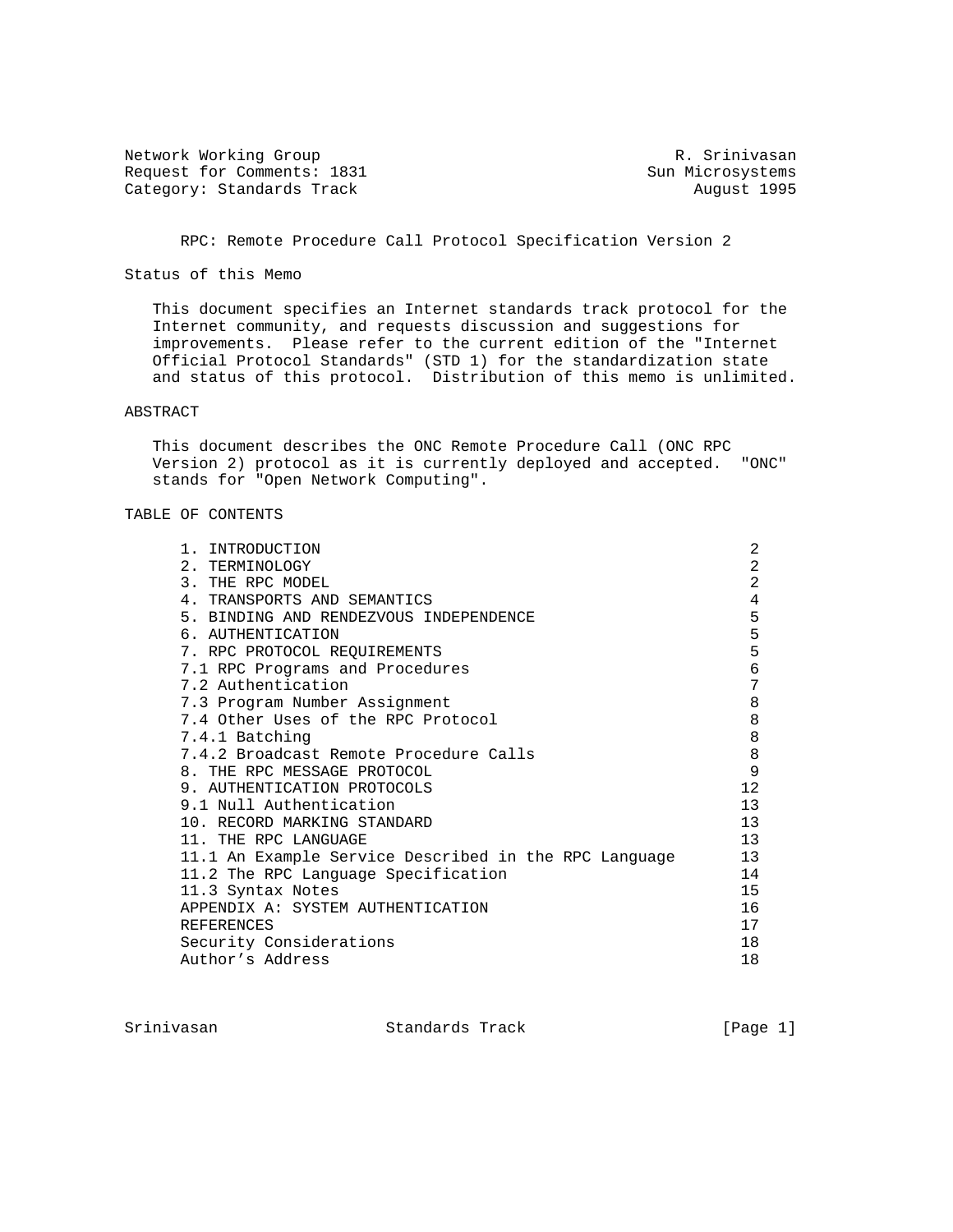Network Working Group and Month Communications of the R. Srinivasan Request for Comments: 1831 Sun Microsystems Category: Standards Track August 1995

RPC: Remote Procedure Call Protocol Specification Version 2

Status of this Memo

 This document specifies an Internet standards track protocol for the Internet community, and requests discussion and suggestions for improvements. Please refer to the current edition of the "Internet Official Protocol Standards" (STD 1) for the standardization state and status of this protocol. Distribution of this memo is unlimited.

### ABSTRACT

 This document describes the ONC Remote Procedure Call (ONC RPC Version 2) protocol as it is currently deployed and accepted. "ONC" stands for "Open Network Computing".

# TABLE OF CONTENTS

| 1. INTRODUCTION                                       | 2              |
|-------------------------------------------------------|----------------|
| 2. TERMINOLOGY                                        | 2              |
| 3. THE RPC MODEL                                      | $\overline{2}$ |
| 4. TRANSPORTS AND SEMANTICS                           | 4              |
| 5. BINDING AND RENDEZVOUS INDEPENDENCE                | 5              |
| 6. AUTHENTICATION                                     | 5              |
| 7. RPC PROTOCOL REQUIREMENTS                          | 5              |
| 7.1 RPC Programs and Procedures                       | 6              |
| 7.2 Authentication                                    | 7              |
| 7.3 Program Number Assignment                         | 8              |
| 7.4 Other Uses of the RPC Protocol                    | $\,8\,$        |
| 7.4.1 Batching                                        | 8              |
| 7.4.2 Broadcast Remote Procedure Calls                | 8              |
| 8. THE RPC MESSAGE PROTOCOL                           | 9              |
| 9. AUTHENTICATION PROTOCOLS                           | 12             |
| 9.1 Null Authentication                               | 13             |
| 10. RECORD MARKING STANDARD                           | 13             |
| 11. THE RPC LANGUAGE                                  | 13             |
| 11.1 An Example Service Described in the RPC Language | 13             |
| 11.2 The RPC Language Specification                   | 14             |
| 11.3 Syntax Notes                                     | 15             |
| APPENDIX A: SYSTEM AUTHENTICATION                     | 16             |
| <b>REFERENCES</b>                                     | 17             |
| Security Considerations                               | 18             |
| Author's Address                                      | 18             |

Srinivasan Standards Track [Page 1]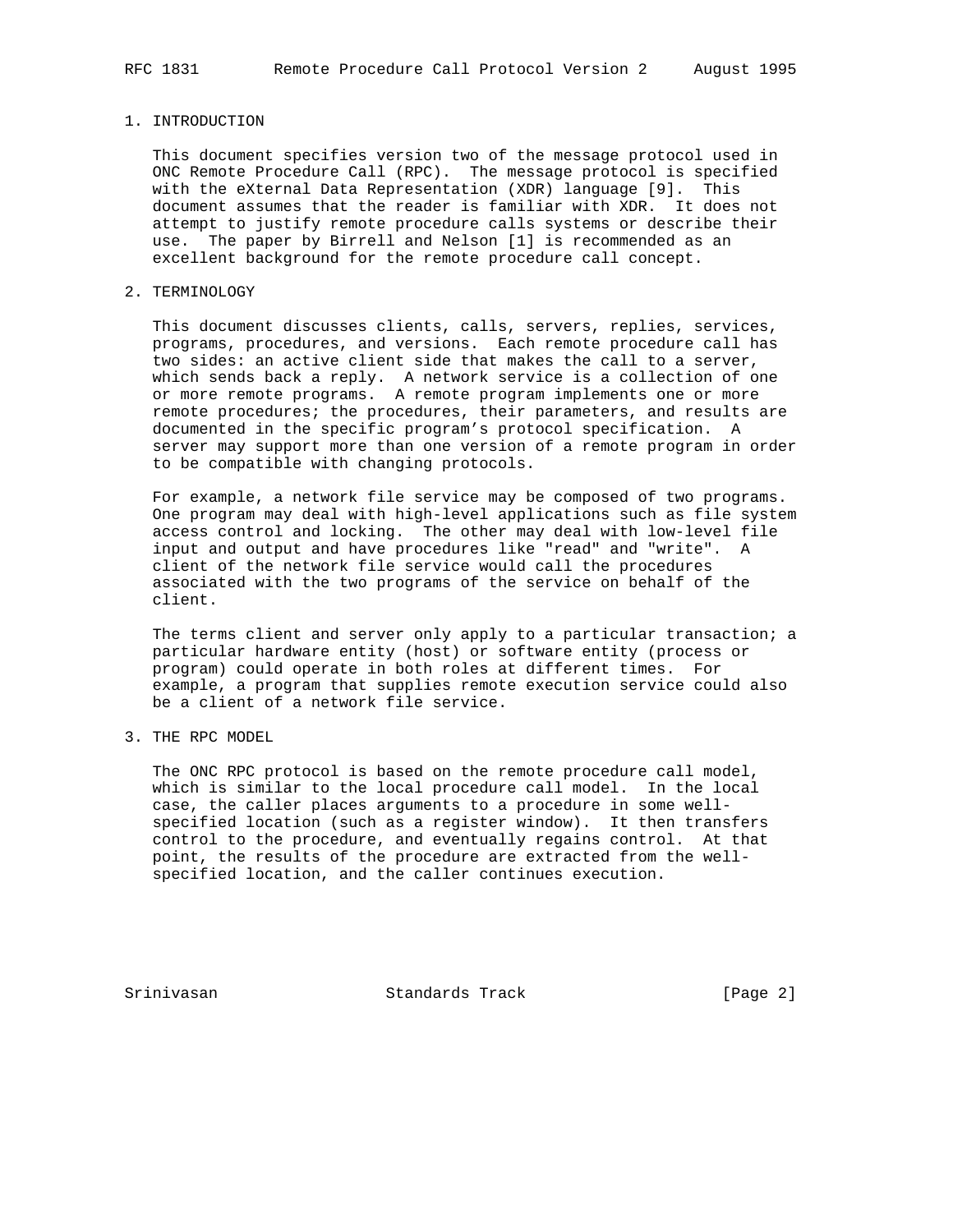### 1. INTRODUCTION

 This document specifies version two of the message protocol used in ONC Remote Procedure Call (RPC). The message protocol is specified with the eXternal Data Representation (XDR) language [9]. This document assumes that the reader is familiar with XDR. It does not attempt to justify remote procedure calls systems or describe their use. The paper by Birrell and Nelson [1] is recommended as an excellent background for the remote procedure call concept.

# 2. TERMINOLOGY

 This document discusses clients, calls, servers, replies, services, programs, procedures, and versions. Each remote procedure call has two sides: an active client side that makes the call to a server, which sends back a reply. A network service is a collection of one or more remote programs. A remote program implements one or more remote procedures; the procedures, their parameters, and results are documented in the specific program's protocol specification. A server may support more than one version of a remote program in order to be compatible with changing protocols.

 For example, a network file service may be composed of two programs. One program may deal with high-level applications such as file system access control and locking. The other may deal with low-level file input and output and have procedures like "read" and "write". A client of the network file service would call the procedures associated with the two programs of the service on behalf of the client.

The terms client and server only apply to a particular transaction; a particular hardware entity (host) or software entity (process or program) could operate in both roles at different times. For example, a program that supplies remote execution service could also be a client of a network file service.

3. THE RPC MODEL

 The ONC RPC protocol is based on the remote procedure call model, which is similar to the local procedure call model. In the local case, the caller places arguments to a procedure in some well specified location (such as a register window). It then transfers control to the procedure, and eventually regains control. At that point, the results of the procedure are extracted from the well specified location, and the caller continues execution.

Srinivasan Standards Track [Page 2]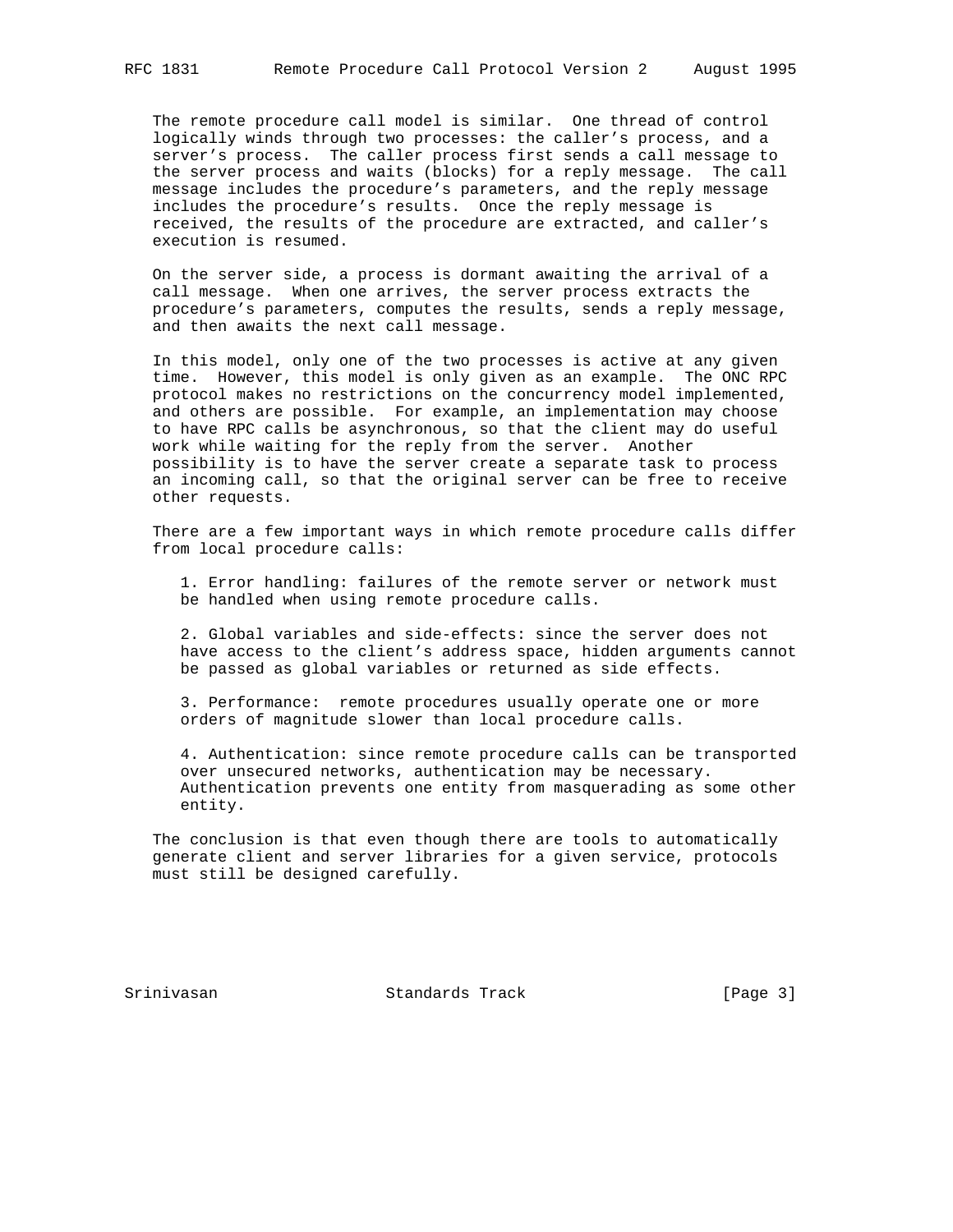The remote procedure call model is similar. One thread of control logically winds through two processes: the caller's process, and a server's process. The caller process first sends a call message to the server process and waits (blocks) for a reply message. The call message includes the procedure's parameters, and the reply message includes the procedure's results. Once the reply message is received, the results of the procedure are extracted, and caller's execution is resumed.

 On the server side, a process is dormant awaiting the arrival of a call message. When one arrives, the server process extracts the procedure's parameters, computes the results, sends a reply message, and then awaits the next call message.

 In this model, only one of the two processes is active at any given time. However, this model is only given as an example. The ONC RPC protocol makes no restrictions on the concurrency model implemented, and others are possible. For example, an implementation may choose to have RPC calls be asynchronous, so that the client may do useful work while waiting for the reply from the server. Another possibility is to have the server create a separate task to process an incoming call, so that the original server can be free to receive other requests.

 There are a few important ways in which remote procedure calls differ from local procedure calls:

 1. Error handling: failures of the remote server or network must be handled when using remote procedure calls.

 2. Global variables and side-effects: since the server does not have access to the client's address space, hidden arguments cannot be passed as global variables or returned as side effects.

 3. Performance: remote procedures usually operate one or more orders of magnitude slower than local procedure calls.

 4. Authentication: since remote procedure calls can be transported over unsecured networks, authentication may be necessary. Authentication prevents one entity from masquerading as some other entity.

 The conclusion is that even though there are tools to automatically generate client and server libraries for a given service, protocols must still be designed carefully.

Srinivasan Standards Track [Page 3]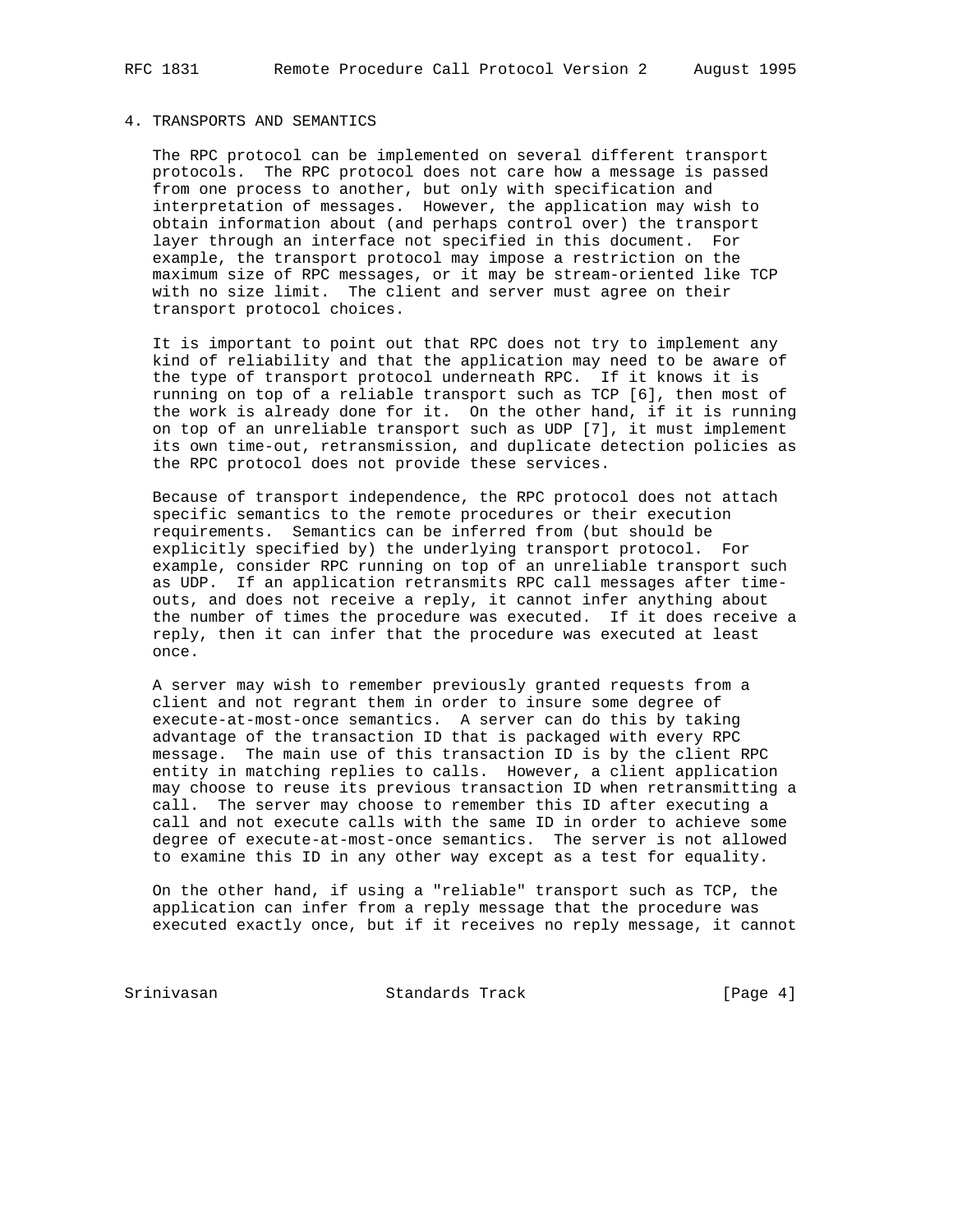## 4. TRANSPORTS AND SEMANTICS

 The RPC protocol can be implemented on several different transport protocols. The RPC protocol does not care how a message is passed from one process to another, but only with specification and interpretation of messages. However, the application may wish to obtain information about (and perhaps control over) the transport layer through an interface not specified in this document. For example, the transport protocol may impose a restriction on the maximum size of RPC messages, or it may be stream-oriented like TCP with no size limit. The client and server must agree on their transport protocol choices.

 It is important to point out that RPC does not try to implement any kind of reliability and that the application may need to be aware of the type of transport protocol underneath RPC. If it knows it is running on top of a reliable transport such as TCP [6], then most of the work is already done for it. On the other hand, if it is running on top of an unreliable transport such as UDP [7], it must implement its own time-out, retransmission, and duplicate detection policies as the RPC protocol does not provide these services.

 Because of transport independence, the RPC protocol does not attach specific semantics to the remote procedures or their execution requirements. Semantics can be inferred from (but should be explicitly specified by) the underlying transport protocol. For example, consider RPC running on top of an unreliable transport such as UDP. If an application retransmits RPC call messages after time outs, and does not receive a reply, it cannot infer anything about the number of times the procedure was executed. If it does receive a reply, then it can infer that the procedure was executed at least once.

 A server may wish to remember previously granted requests from a client and not regrant them in order to insure some degree of execute-at-most-once semantics. A server can do this by taking advantage of the transaction ID that is packaged with every RPC message. The main use of this transaction ID is by the client RPC entity in matching replies to calls. However, a client application may choose to reuse its previous transaction ID when retransmitting a call. The server may choose to remember this ID after executing a call and not execute calls with the same ID in order to achieve some degree of execute-at-most-once semantics. The server is not allowed to examine this ID in any other way except as a test for equality.

 On the other hand, if using a "reliable" transport such as TCP, the application can infer from a reply message that the procedure was executed exactly once, but if it receives no reply message, it cannot

Srinivasan Standards Track [Page 4]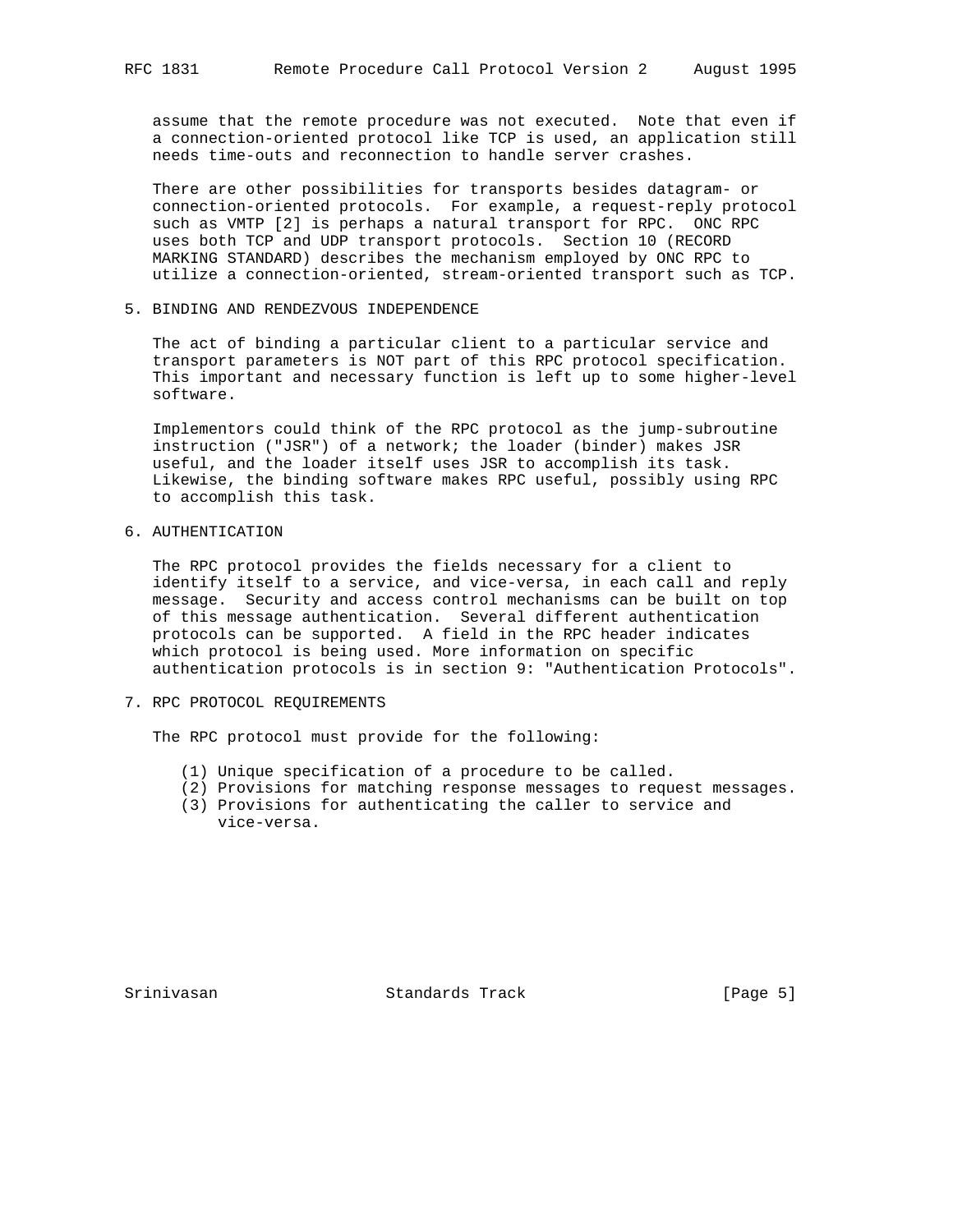assume that the remote procedure was not executed. Note that even if a connection-oriented protocol like TCP is used, an application still needs time-outs and reconnection to handle server crashes.

 There are other possibilities for transports besides datagram- or connection-oriented protocols. For example, a request-reply protocol such as VMTP [2] is perhaps a natural transport for RPC. ONC RPC uses both TCP and UDP transport protocols. Section 10 (RECORD MARKING STANDARD) describes the mechanism employed by ONC RPC to utilize a connection-oriented, stream-oriented transport such as TCP.

5. BINDING AND RENDEZVOUS INDEPENDENCE

 The act of binding a particular client to a particular service and transport parameters is NOT part of this RPC protocol specification. This important and necessary function is left up to some higher-level software.

 Implementors could think of the RPC protocol as the jump-subroutine instruction ("JSR") of a network; the loader (binder) makes JSR useful, and the loader itself uses JSR to accomplish its task. Likewise, the binding software makes RPC useful, possibly using RPC to accomplish this task.

6. AUTHENTICATION

 The RPC protocol provides the fields necessary for a client to identify itself to a service, and vice-versa, in each call and reply message. Security and access control mechanisms can be built on top of this message authentication. Several different authentication protocols can be supported. A field in the RPC header indicates which protocol is being used. More information on specific authentication protocols is in section 9: "Authentication Protocols".

7. RPC PROTOCOL REQUIREMENTS

The RPC protocol must provide for the following:

- (1) Unique specification of a procedure to be called.
- (2) Provisions for matching response messages to request messages.
- (3) Provisions for authenticating the caller to service and vice-versa.

Srinivasan Standards Track [Page 5]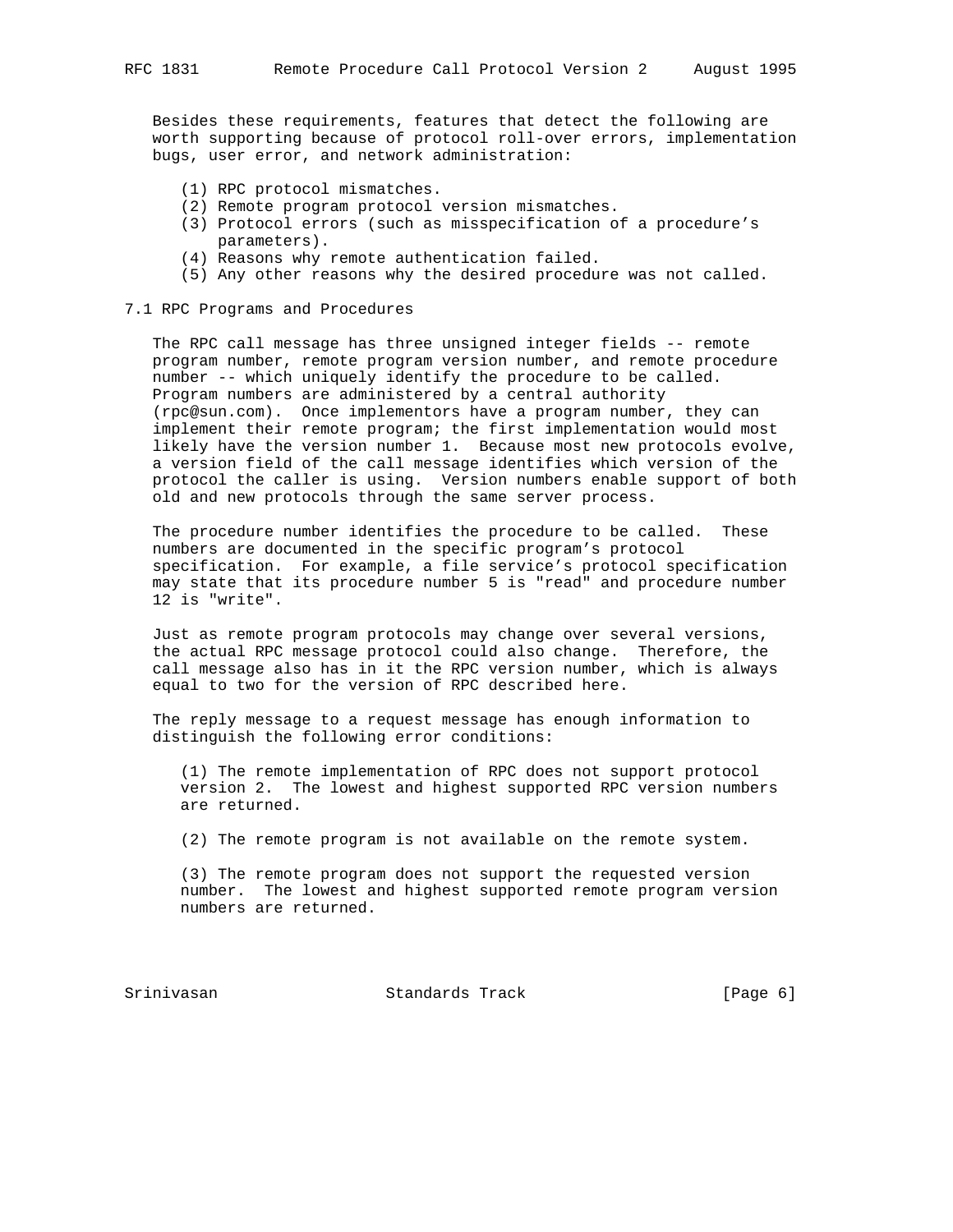Besides these requirements, features that detect the following are worth supporting because of protocol roll-over errors, implementation bugs, user error, and network administration:

- (1) RPC protocol mismatches.
- (2) Remote program protocol version mismatches.
- (3) Protocol errors (such as misspecification of a procedure's parameters).
- (4) Reasons why remote authentication failed.
- (5) Any other reasons why the desired procedure was not called.

#### 7.1 RPC Programs and Procedures

 The RPC call message has three unsigned integer fields -- remote program number, remote program version number, and remote procedure number -- which uniquely identify the procedure to be called. Program numbers are administered by a central authority (rpc@sun.com). Once implementors have a program number, they can implement their remote program; the first implementation would most likely have the version number 1. Because most new protocols evolve, a version field of the call message identifies which version of the protocol the caller is using. Version numbers enable support of both old and new protocols through the same server process.

 The procedure number identifies the procedure to be called. These numbers are documented in the specific program's protocol specification. For example, a file service's protocol specification may state that its procedure number 5 is "read" and procedure number 12 is "write".

 Just as remote program protocols may change over several versions, the actual RPC message protocol could also change. Therefore, the call message also has in it the RPC version number, which is always equal to two for the version of RPC described here.

 The reply message to a request message has enough information to distinguish the following error conditions:

 (1) The remote implementation of RPC does not support protocol version 2. The lowest and highest supported RPC version numbers are returned.

(2) The remote program is not available on the remote system.

 (3) The remote program does not support the requested version number. The lowest and highest supported remote program version numbers are returned.

Srinivasan Standards Track [Page 6]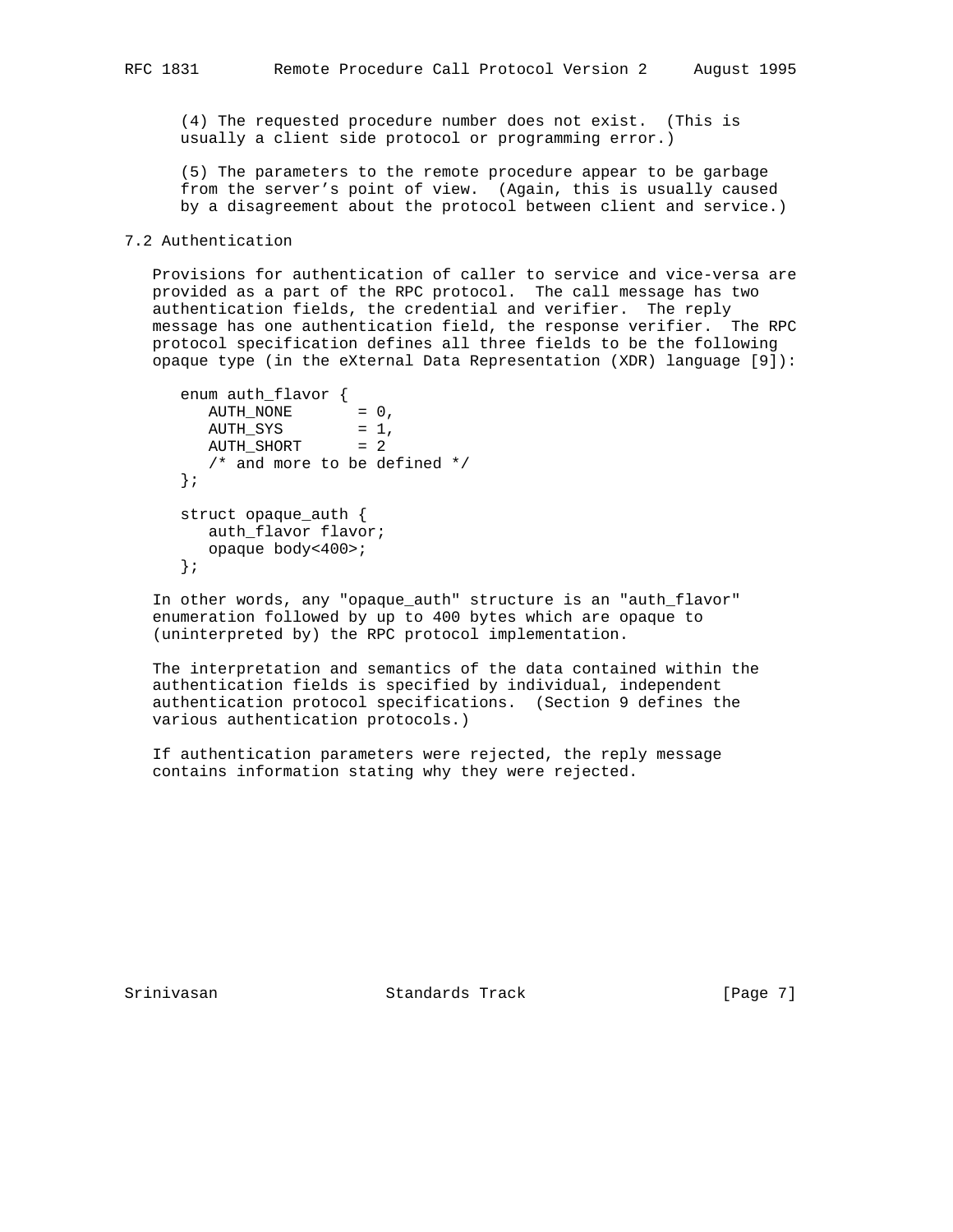(4) The requested procedure number does not exist. (This is usually a client side protocol or programming error.)

 (5) The parameters to the remote procedure appear to be garbage from the server's point of view. (Again, this is usually caused by a disagreement about the protocol between client and service.)

## 7.2 Authentication

 Provisions for authentication of caller to service and vice-versa are provided as a part of the RPC protocol. The call message has two authentication fields, the credential and verifier. The reply message has one authentication field, the response verifier. The RPC protocol specification defines all three fields to be the following opaque type (in the eXternal Data Representation (XDR) language [9]):

```
 enum auth_flavor {
  \text{AUTH\_NONE} = 0,
  AUTH_SYS = 1,
  AUTH\_SHORT = 2
   /* and more to be defined */
 };
 struct opaque_auth {
   auth_flavor flavor;
   opaque body<400>;
 };
```
 In other words, any "opaque\_auth" structure is an "auth\_flavor" enumeration followed by up to 400 bytes which are opaque to (uninterpreted by) the RPC protocol implementation.

 The interpretation and semantics of the data contained within the authentication fields is specified by individual, independent authentication protocol specifications. (Section 9 defines the various authentication protocols.)

 If authentication parameters were rejected, the reply message contains information stating why they were rejected.

Srinivasan Standards Track [Page 7]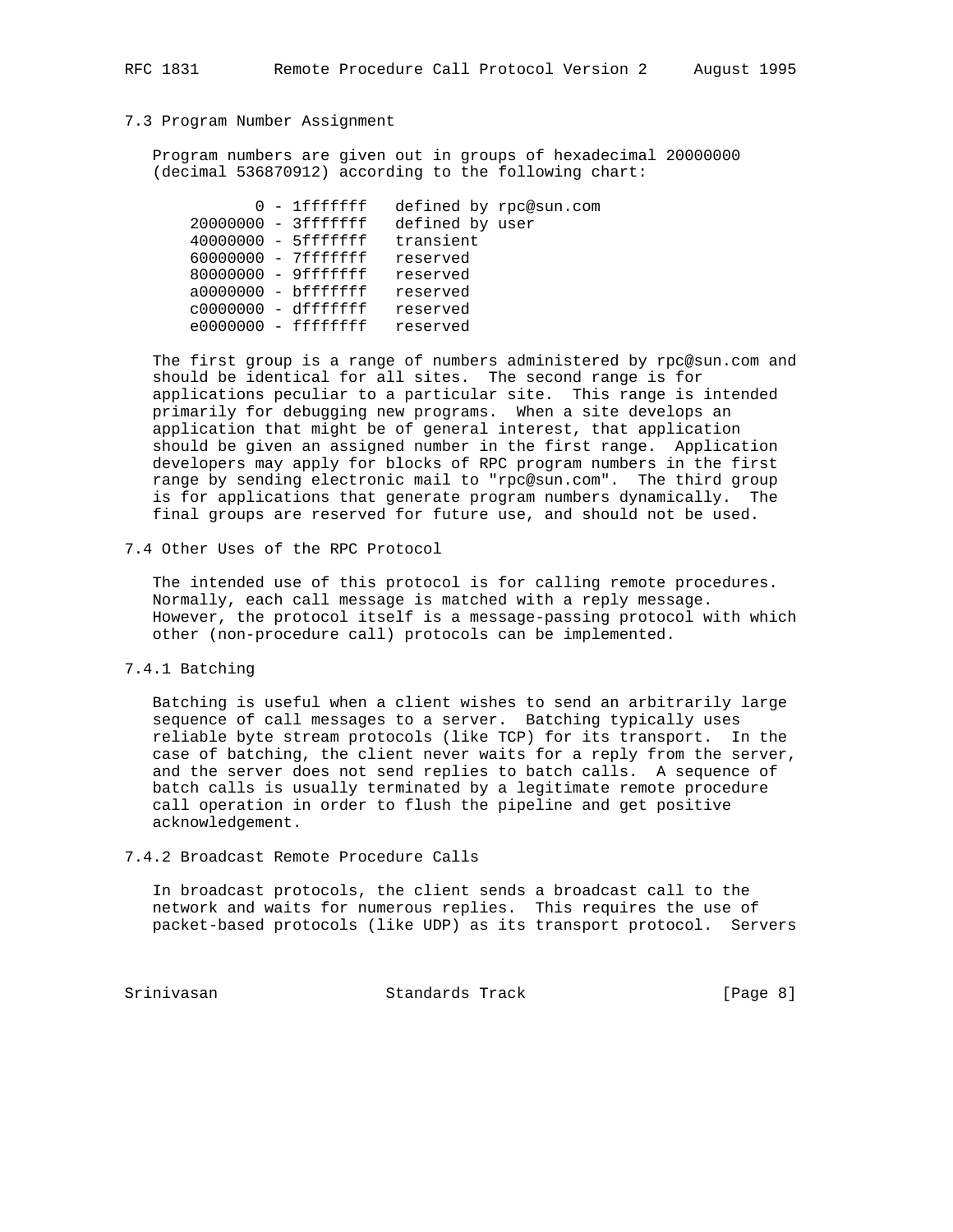#### 7.3 Program Number Assignment

 Program numbers are given out in groups of hexadecimal 20000000 (decimal 536870912) according to the following chart:

|  | $0 - 1$ fffffff       |                 | defined by rpc@sun.com |
|--|-----------------------|-----------------|------------------------|
|  | 20000000 - 3ffffffff  | defined by user |                        |
|  | $40000000 - 5fffffff$ | transient       |                        |
|  | 60000000 - 7fffffff   | reserved        |                        |
|  | 80000000 - 9ffffffff  | reserved        |                        |
|  | $a0000000 - bfffffff$ | reserved        |                        |
|  | $c0000000 - dfffffff$ | reserved        |                        |
|  | $e0000000 - ffffffff$ | reserved        |                        |
|  |                       |                 |                        |

 The first group is a range of numbers administered by rpc@sun.com and should be identical for all sites. The second range is for applications peculiar to a particular site. This range is intended primarily for debugging new programs. When a site develops an application that might be of general interest, that application should be given an assigned number in the first range. Application developers may apply for blocks of RPC program numbers in the first range by sending electronic mail to "rpc@sun.com". The third group is for applications that generate program numbers dynamically. The final groups are reserved for future use, and should not be used.

7.4 Other Uses of the RPC Protocol

 The intended use of this protocol is for calling remote procedures. Normally, each call message is matched with a reply message. However, the protocol itself is a message-passing protocol with which other (non-procedure call) protocols can be implemented.

7.4.1 Batching

 Batching is useful when a client wishes to send an arbitrarily large sequence of call messages to a server. Batching typically uses reliable byte stream protocols (like TCP) for its transport. In the case of batching, the client never waits for a reply from the server, and the server does not send replies to batch calls. A sequence of batch calls is usually terminated by a legitimate remote procedure call operation in order to flush the pipeline and get positive acknowledgement.

7.4.2 Broadcast Remote Procedure Calls

 In broadcast protocols, the client sends a broadcast call to the network and waits for numerous replies. This requires the use of packet-based protocols (like UDP) as its transport protocol. Servers

Srinivasan Standards Track [Page 8]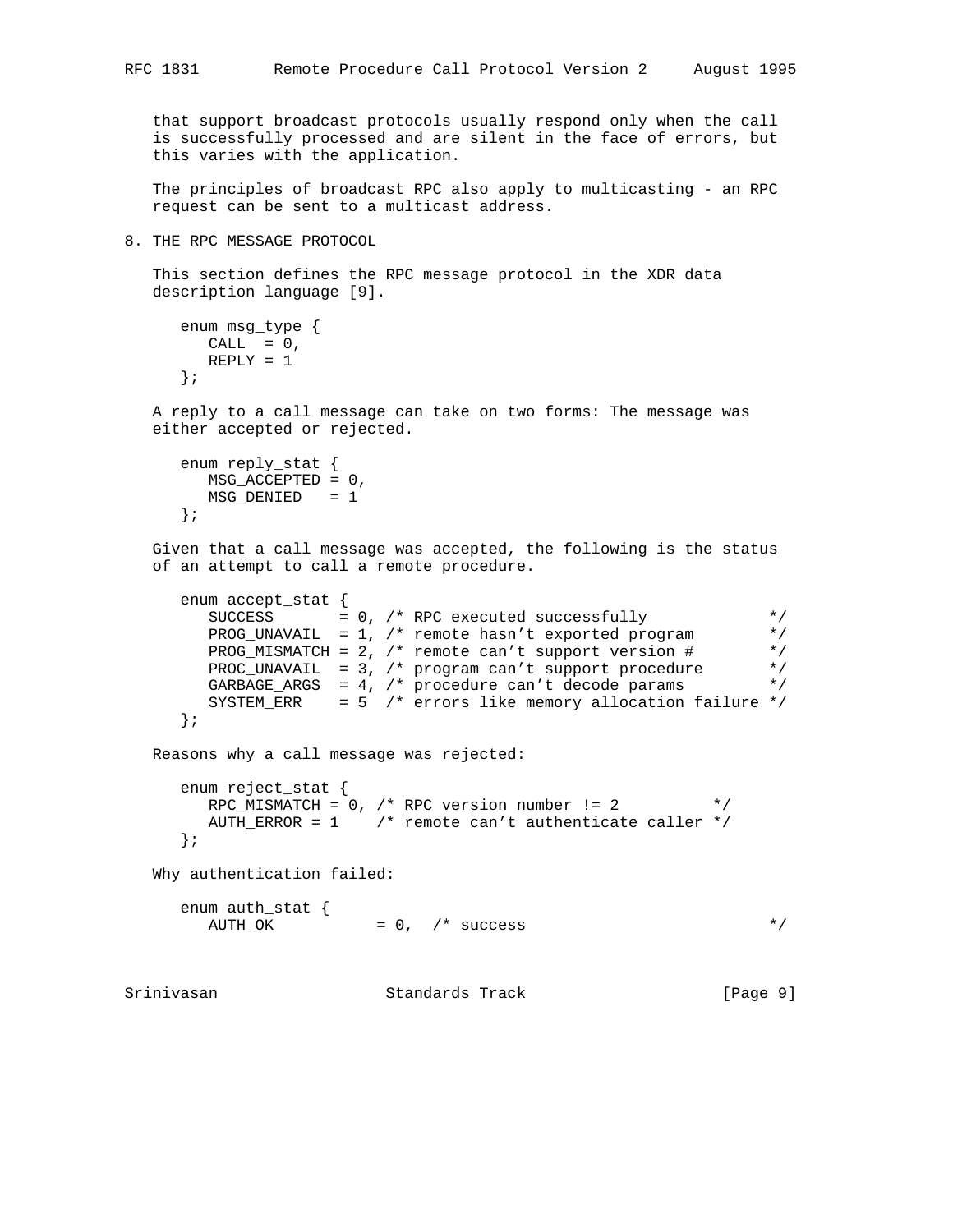that support broadcast protocols usually respond only when the call is successfully processed and are silent in the face of errors, but this varies with the application.

 The principles of broadcast RPC also apply to multicasting - an RPC request can be sent to a multicast address.

8. THE RPC MESSAGE PROTOCOL

 This section defines the RPC message protocol in the XDR data description language [9].

```
 enum msg_type {
 CALL = 0, REPLY = 1
 };
```
 A reply to a call message can take on two forms: The message was either accepted or rejected.

```
 enum reply_stat {
  MSG_ACCEPTED = 0,
   MSG_DENIED = 1
 };
```
 Given that a call message was accepted, the following is the status of an attempt to call a remote procedure.

```
 enum accept_stat {
       SUCCESS = 0, /* RPC executed successfully */
        PROG_UNAVAIL = 1, /* remote hasn't exported program */
      PROG_MISMATCH = 2, /* remote can't support version # */
 PROC_UNAVAIL = 3, /* program can't support procedure */
 GARBAGE_ARGS = 4, /* procedure can't decode params */
       SYSTEM_ERR = 5 /* errors like memory allocation failure */
     };
   Reasons why a call message was rejected:
     enum reject_stat {
      RPC_MISMATCH = 0, /* RPC version number != 2 */
       AUTH_ERROR = 1 /* remote can't authenticate caller */
     };
   Why authentication failed:
 enum auth_stat {
\text{AUTH\_OK} = 0, /* success */
```
Srinivasan Standards Track [Page 9]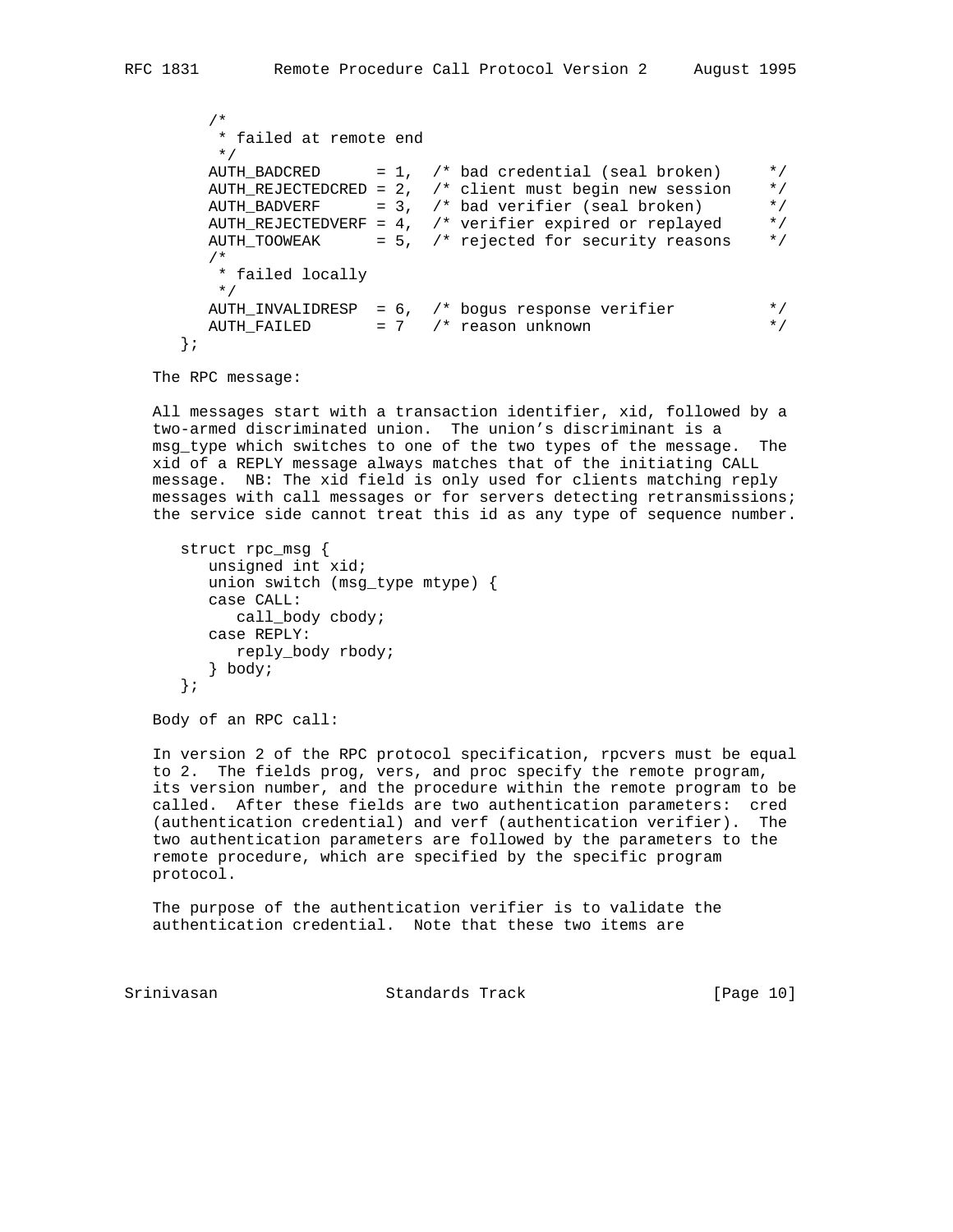```
 /*
          * failed at remote end
          */
         AUTH_BADCRED = 1, /* bad credential (seal broken) */
          AUTH_REJECTEDCRED = 2, /* client must begin new session */
         AUTH_REUBERF = 3, /* Dension and the political broken) */<br>AUTH_BADVERF = 3, /* bad verifier (seal broken) */<br>AUTH_REJECTEDVERF = 4, /* verifier expired or replayed */
         AUTH_REJECTEDVERF = 4, /* verifier expired or replayed
         AUTH_TOOWEAK = 5, /* rejected for security reasons */ /*
           * failed locally
           */
 AUTH_INVALIDRESP = 6, /* bogus response verifier */
AUTH_FAILED = 7 /* reason unknown */
       };
```
The RPC message:

 All messages start with a transaction identifier, xid, followed by a two-armed discriminated union. The union's discriminant is a msg\_type which switches to one of the two types of the message. The xid of a REPLY message always matches that of the initiating CALL message. NB: The xid field is only used for clients matching reply messages with call messages or for servers detecting retransmissions; the service side cannot treat this id as any type of sequence number.

```
 struct rpc_msg {
   unsigned int xid;
   union switch (msg_type mtype) {
   case CALL:
      call_body cbody;
   case REPLY:
     reply_body rbody;
   } body;
 };
```
Body of an RPC call:

 In version 2 of the RPC protocol specification, rpcvers must be equal to 2. The fields prog, vers, and proc specify the remote program, its version number, and the procedure within the remote program to be called. After these fields are two authentication parameters: cred (authentication credential) and verf (authentication verifier). The two authentication parameters are followed by the parameters to the remote procedure, which are specified by the specific program protocol.

 The purpose of the authentication verifier is to validate the authentication credential. Note that these two items are

Srinivasan Standards Track [Page 10]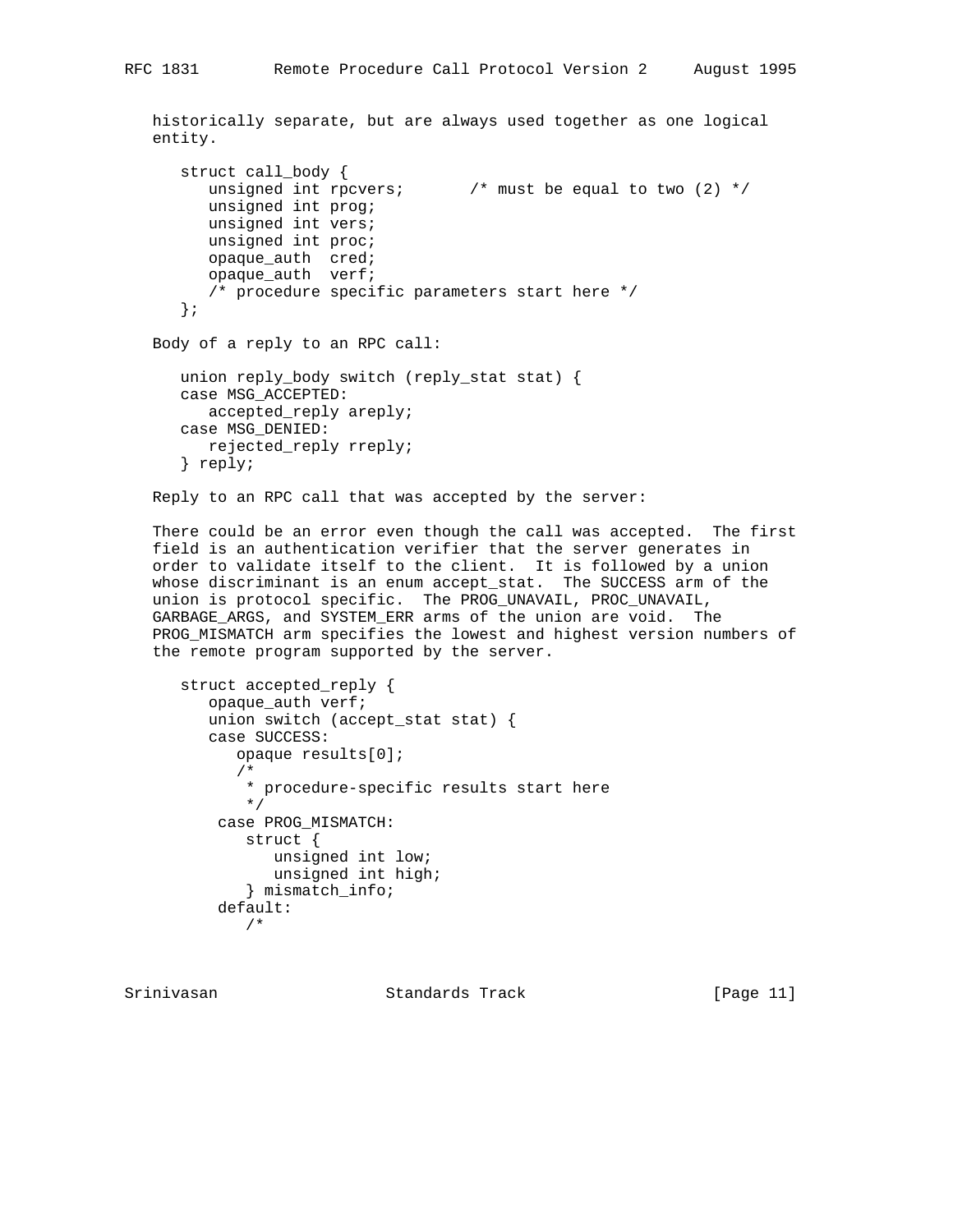historically separate, but are always used together as one logical entity.

```
 struct call_body {
  unsigned int rpcvers; \frac{1}{2} /* must be equal to two (2) */
   unsigned int prog;
   unsigned int vers;
   unsigned int proc;
   opaque_auth cred;
   opaque_auth verf;
   /* procedure specific parameters start here */
 };
```

```
 Body of a reply to an RPC call:
```

```
 union reply_body switch (reply_stat stat) {
 case MSG_ACCEPTED:
  accepted_reply areply;
 case MSG_DENIED:
   rejected_reply rreply;
 } reply;
```
Reply to an RPC call that was accepted by the server:

 There could be an error even though the call was accepted. The first field is an authentication verifier that the server generates in order to validate itself to the client. It is followed by a union whose discriminant is an enum accept\_stat. The SUCCESS arm of the union is protocol specific. The PROG\_UNAVAIL, PROC\_UNAVAIL, GARBAGE\_ARGS, and SYSTEM\_ERR arms of the union are void. The PROG\_MISMATCH arm specifies the lowest and highest version numbers of the remote program supported by the server.

```
 struct accepted_reply {
   opaque_auth verf;
    union switch (accept_stat stat) {
    case SUCCESS:
       opaque results[0];
       /*
        * procedure-specific results start here
        */
     case PROG_MISMATCH:
        struct {
           unsigned int low;
          unsigned int high;
        } mismatch_info;
     default:
        /*
```
Srinivasan Standards Track [Page 11]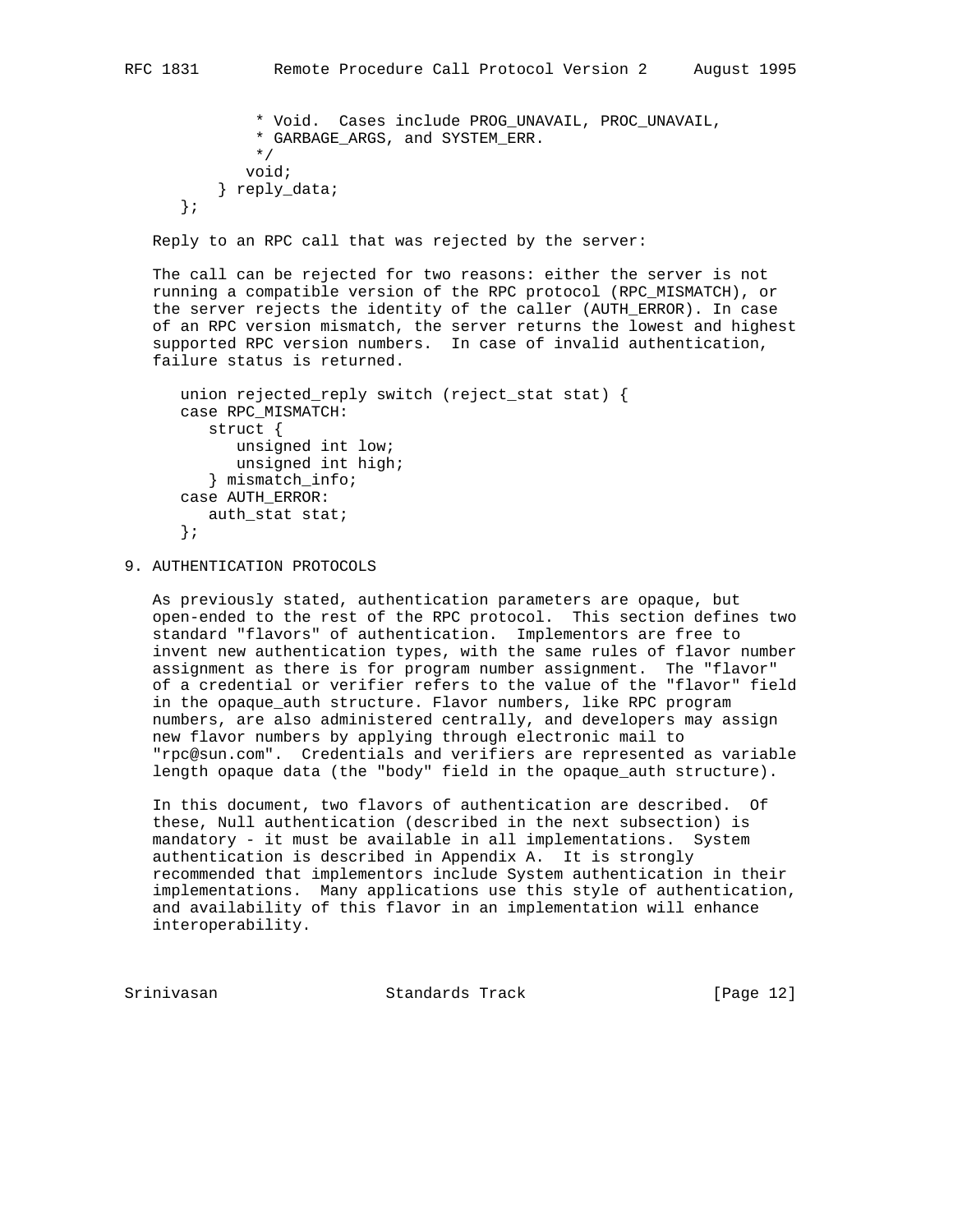```
 * Void. Cases include PROG_UNAVAIL, PROC_UNAVAIL,
         * GARBAGE_ARGS, and SYSTEM_ERR.
         */
        void;
     } reply_data;
 };
```
Reply to an RPC call that was rejected by the server:

 The call can be rejected for two reasons: either the server is not running a compatible version of the RPC protocol (RPC\_MISMATCH), or the server rejects the identity of the caller (AUTH\_ERROR). In case of an RPC version mismatch, the server returns the lowest and highest supported RPC version numbers. In case of invalid authentication, failure status is returned.

```
 union rejected_reply switch (reject_stat stat) {
 case RPC_MISMATCH:
   struct {
       unsigned int low;
      unsigned int high;
    } mismatch_info;
 case AUTH_ERROR:
    auth_stat stat;
 };
```
9. AUTHENTICATION PROTOCOLS

 As previously stated, authentication parameters are opaque, but open-ended to the rest of the RPC protocol. This section defines two standard "flavors" of authentication. Implementors are free to invent new authentication types, with the same rules of flavor number assignment as there is for program number assignment. The "flavor" of a credential or verifier refers to the value of the "flavor" field in the opaque\_auth structure. Flavor numbers, like RPC program numbers, are also administered centrally, and developers may assign new flavor numbers by applying through electronic mail to "rpc@sun.com". Credentials and verifiers are represented as variable length opaque data (the "body" field in the opaque\_auth structure).

 In this document, two flavors of authentication are described. Of these, Null authentication (described in the next subsection) is mandatory - it must be available in all implementations. System authentication is described in Appendix A. It is strongly recommended that implementors include System authentication in their implementations. Many applications use this style of authentication, and availability of this flavor in an implementation will enhance interoperability.

Srinivasan Standards Track [Page 12]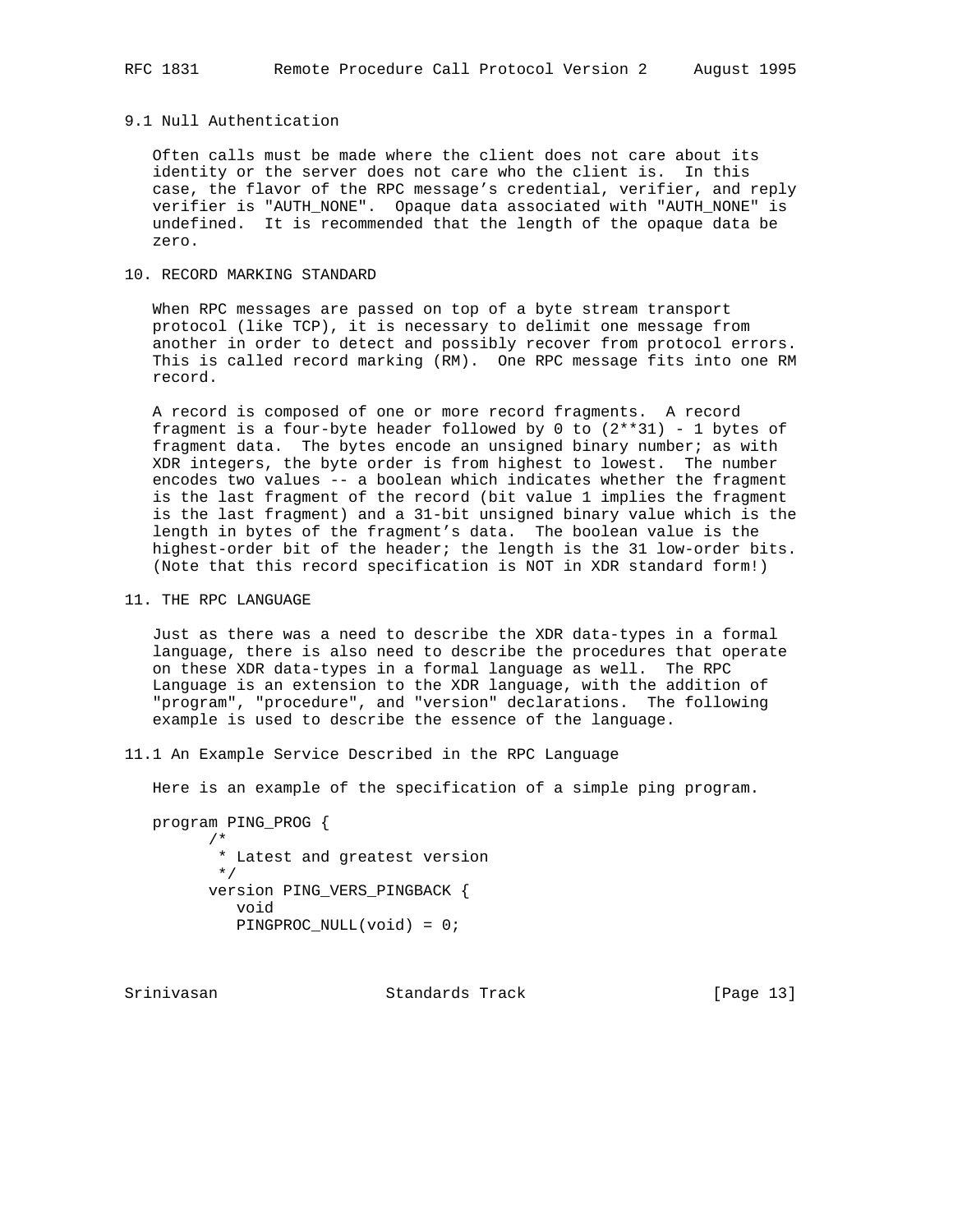### 9.1 Null Authentication

 Often calls must be made where the client does not care about its identity or the server does not care who the client is. In this case, the flavor of the RPC message's credential, verifier, and reply verifier is "AUTH\_NONE". Opaque data associated with "AUTH\_NONE" is undefined. It is recommended that the length of the opaque data be zero.

## 10. RECORD MARKING STANDARD

 When RPC messages are passed on top of a byte stream transport protocol (like TCP), it is necessary to delimit one message from another in order to detect and possibly recover from protocol errors. This is called record marking (RM). One RPC message fits into one RM record.

 A record is composed of one or more record fragments. A record fragment is a four-byte header followed by 0 to  $(2**31)$  - 1 bytes of fragment data. The bytes encode an unsigned binary number; as with XDR integers, the byte order is from highest to lowest. The number encodes two values -- a boolean which indicates whether the fragment is the last fragment of the record (bit value 1 implies the fragment is the last fragment) and a 31-bit unsigned binary value which is the length in bytes of the fragment's data. The boolean value is the highest-order bit of the header; the length is the 31 low-order bits. (Note that this record specification is NOT in XDR standard form!)

11. THE RPC LANGUAGE

 Just as there was a need to describe the XDR data-types in a formal language, there is also need to describe the procedures that operate on these XDR data-types in a formal language as well. The RPC Language is an extension to the XDR language, with the addition of "program", "procedure", and "version" declarations. The following example is used to describe the essence of the language.

11.1 An Example Service Described in the RPC Language

Here is an example of the specification of a simple ping program.

 program PING\_PROG { /\* \* Latest and greatest version \*/ version PING\_VERS\_PINGBACK { void PINGPROC\_NULL(void) = 0;

Srinivasan Standards Track [Page 13]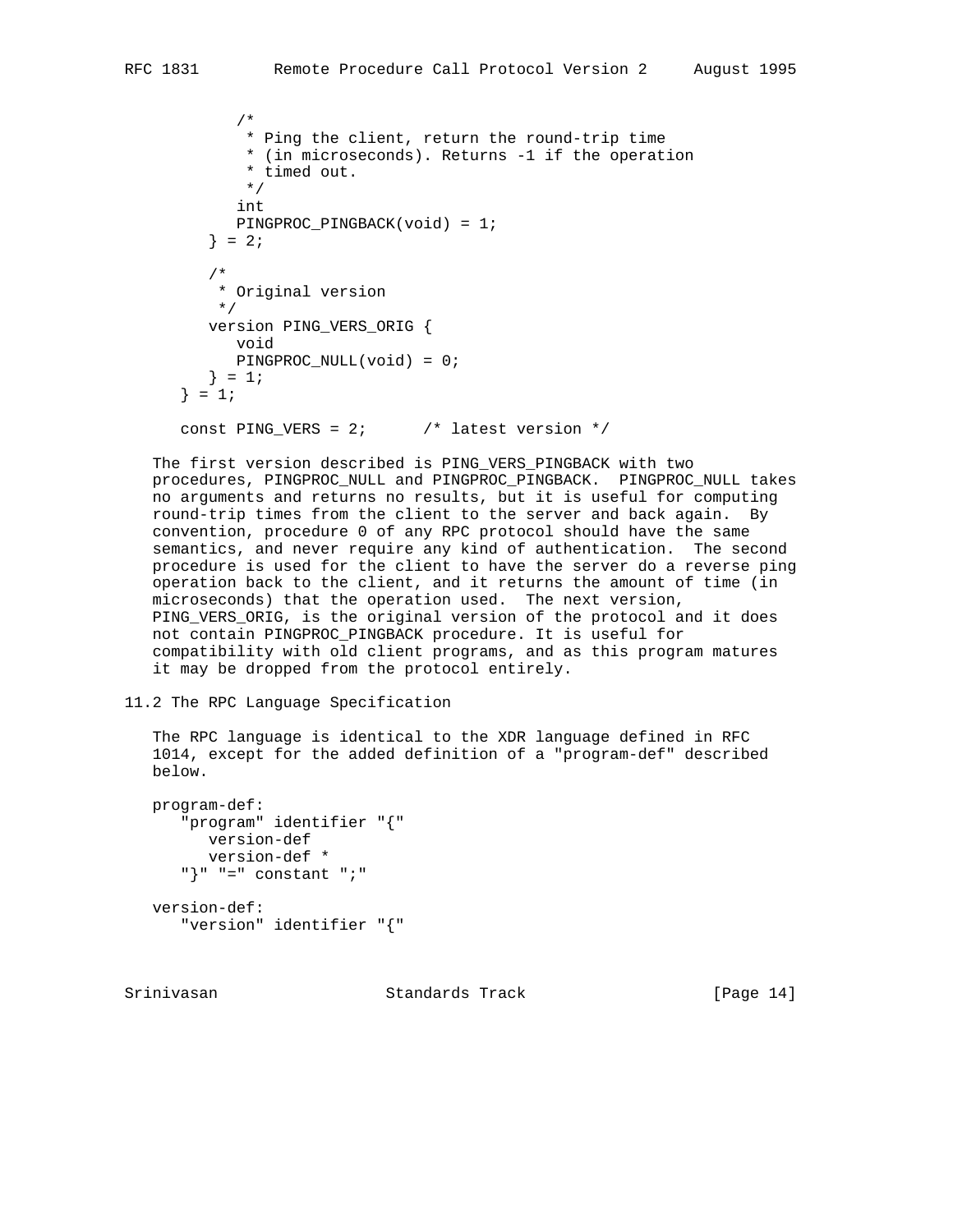```
 /*
        * Ping the client, return the round-trip time
        * (in microseconds). Returns -1 if the operation
        * timed out.
        */
       int
       PINGPROC_PINGBACK(void) = 1;
   \} = 2i /*
     * Original version
     */
    version PING_VERS_ORIG {
       void
       PINGPROC_NULL(void) = 0;
   } = 1;} = 1;const PING_VERS = 2; \frac{1}{2} /* latest version */
```
 The first version described is PING\_VERS\_PINGBACK with two procedures, PINGPROC\_NULL and PINGPROC\_PINGBACK. PINGPROC\_NULL takes no arguments and returns no results, but it is useful for computing round-trip times from the client to the server and back again. By convention, procedure 0 of any RPC protocol should have the same semantics, and never require any kind of authentication. The second procedure is used for the client to have the server do a reverse ping operation back to the client, and it returns the amount of time (in microseconds) that the operation used. The next version, PING\_VERS\_ORIG, is the original version of the protocol and it does not contain PINGPROC\_PINGBACK procedure. It is useful for compatibility with old client programs, and as this program matures it may be dropped from the protocol entirely.

```
11.2 The RPC Language Specification
```
 The RPC language is identical to the XDR language defined in RFC 1014, except for the added definition of a "program-def" described below.

```
 program-def:
    "program" identifier "{"
      version-def
      version-def *
    "}" "=" constant ";"
 version-def:
    "version" identifier "{"
```
Srinivasan Standards Track [Page 14]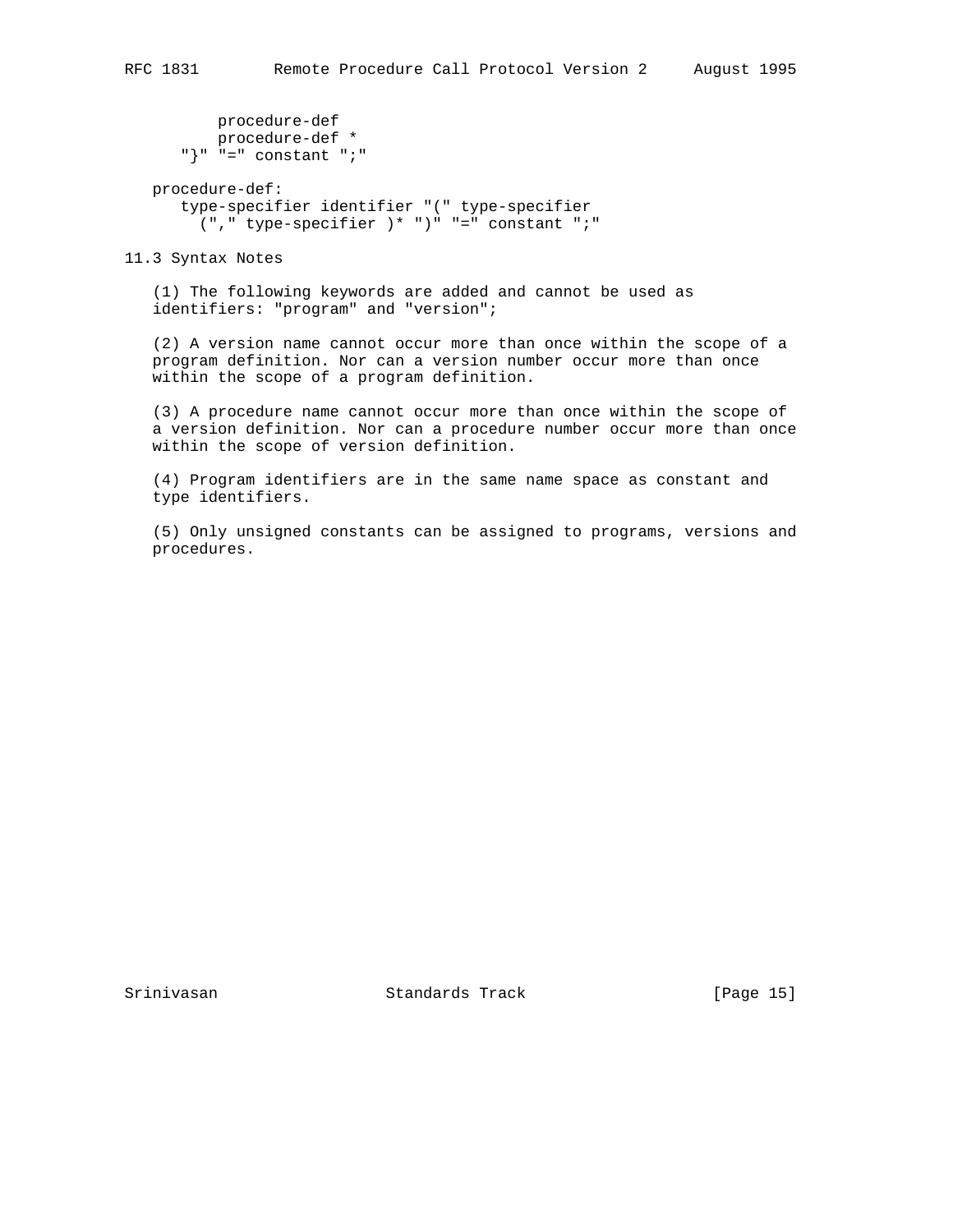```
 procedure-def
 procedure-def *
 "}" "=" constant ";"
   procedure-def:
      type-specifier identifier "(" type-specifier
        ("," type-specifier )* ")" "=" constant ";"
```
11.3 Syntax Notes

 (1) The following keywords are added and cannot be used as identifiers: "program" and "version";

 (2) A version name cannot occur more than once within the scope of a program definition. Nor can a version number occur more than once within the scope of a program definition.

 (3) A procedure name cannot occur more than once within the scope of a version definition. Nor can a procedure number occur more than once within the scope of version definition.

 (4) Program identifiers are in the same name space as constant and type identifiers.

 (5) Only unsigned constants can be assigned to programs, versions and procedures.

Srinivasan Standards Track [Page 15]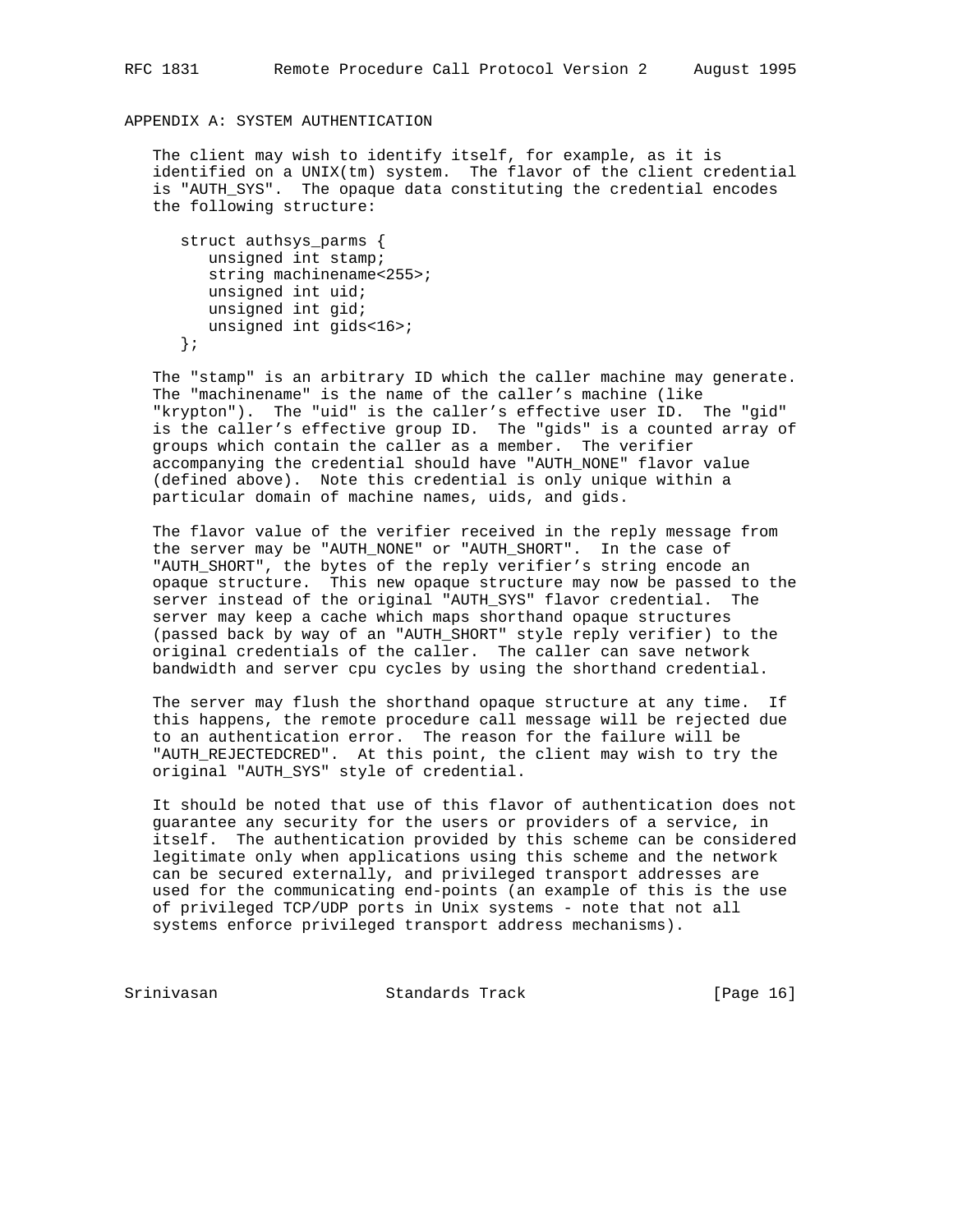# APPENDIX A: SYSTEM AUTHENTICATION

 The client may wish to identify itself, for example, as it is identified on a UNIX(tm) system. The flavor of the client credential is "AUTH\_SYS". The opaque data constituting the credential encodes the following structure:

```
 struct authsys_parms {
   unsigned int stamp;
   string machinename<255>;
   unsigned int uid;
   unsigned int gid;
   unsigned int gids<16>;
 };
```
 The "stamp" is an arbitrary ID which the caller machine may generate. The "machinename" is the name of the caller's machine (like "krypton"). The "uid" is the caller's effective user ID. The "gid" is the caller's effective group ID. The "gids" is a counted array of groups which contain the caller as a member. The verifier accompanying the credential should have "AUTH\_NONE" flavor value (defined above). Note this credential is only unique within a particular domain of machine names, uids, and gids.

 The flavor value of the verifier received in the reply message from the server may be "AUTH\_NONE" or "AUTH\_SHORT". In the case of "AUTH\_SHORT", the bytes of the reply verifier's string encode an opaque structure. This new opaque structure may now be passed to the server instead of the original "AUTH\_SYS" flavor credential. The server may keep a cache which maps shorthand opaque structures (passed back by way of an "AUTH\_SHORT" style reply verifier) to the original credentials of the caller. The caller can save network bandwidth and server cpu cycles by using the shorthand credential.

 The server may flush the shorthand opaque structure at any time. If this happens, the remote procedure call message will be rejected due to an authentication error. The reason for the failure will be "AUTH\_REJECTEDCRED". At this point, the client may wish to try the original "AUTH\_SYS" style of credential.

 It should be noted that use of this flavor of authentication does not guarantee any security for the users or providers of a service, in itself. The authentication provided by this scheme can be considered legitimate only when applications using this scheme and the network can be secured externally, and privileged transport addresses are used for the communicating end-points (an example of this is the use of privileged TCP/UDP ports in Unix systems - note that not all systems enforce privileged transport address mechanisms).

Srinivasan Standards Track [Page 16]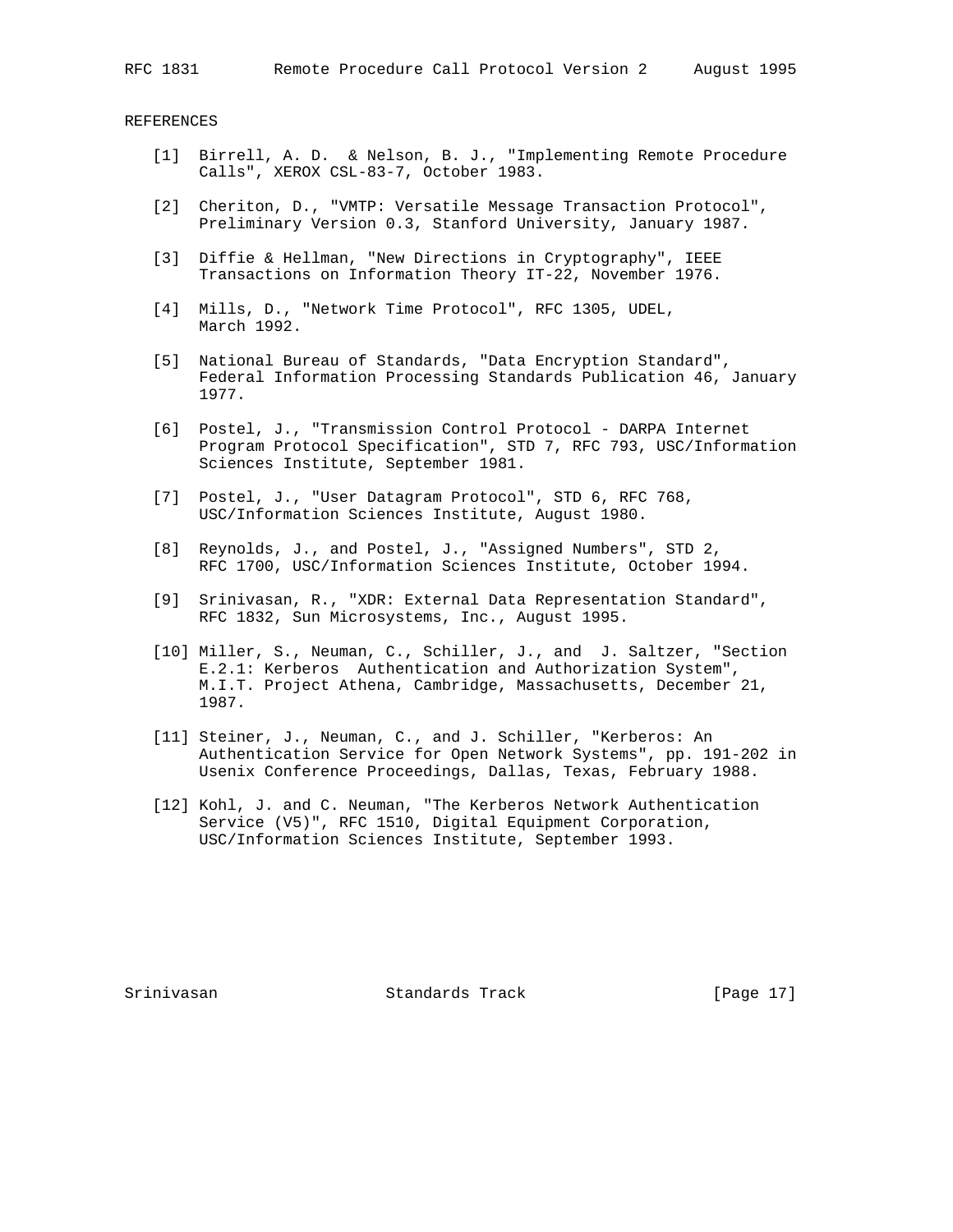REFERENCES

- [1] Birrell, A. D. & Nelson, B. J., "Implementing Remote Procedure Calls", XEROX CSL-83-7, October 1983.
- [2] Cheriton, D., "VMTP: Versatile Message Transaction Protocol", Preliminary Version 0.3, Stanford University, January 1987.
- [3] Diffie & Hellman, "New Directions in Cryptography", IEEE Transactions on Information Theory IT-22, November 1976.
- [4] Mills, D., "Network Time Protocol", RFC 1305, UDEL, March 1992.
- [5] National Bureau of Standards, "Data Encryption Standard", Federal Information Processing Standards Publication 46, January 1977.
- [6] Postel, J., "Transmission Control Protocol DARPA Internet Program Protocol Specification", STD 7, RFC 793, USC/Information Sciences Institute, September 1981.
- [7] Postel, J., "User Datagram Protocol", STD 6, RFC 768, USC/Information Sciences Institute, August 1980.
- [8] Reynolds, J., and Postel, J., "Assigned Numbers", STD 2, RFC 1700, USC/Information Sciences Institute, October 1994.
- [9] Srinivasan, R., "XDR: External Data Representation Standard", RFC 1832, Sun Microsystems, Inc., August 1995.
- [10] Miller, S., Neuman, C., Schiller, J., and J. Saltzer, "Section E.2.1: Kerberos Authentication and Authorization System", M.I.T. Project Athena, Cambridge, Massachusetts, December 21, 1987.
- [11] Steiner, J., Neuman, C., and J. Schiller, "Kerberos: An Authentication Service for Open Network Systems", pp. 191-202 in Usenix Conference Proceedings, Dallas, Texas, February 1988.
- [12] Kohl, J. and C. Neuman, "The Kerberos Network Authentication Service (V5)", RFC 1510, Digital Equipment Corporation, USC/Information Sciences Institute, September 1993.

Srinivasan Standards Track [Page 17]